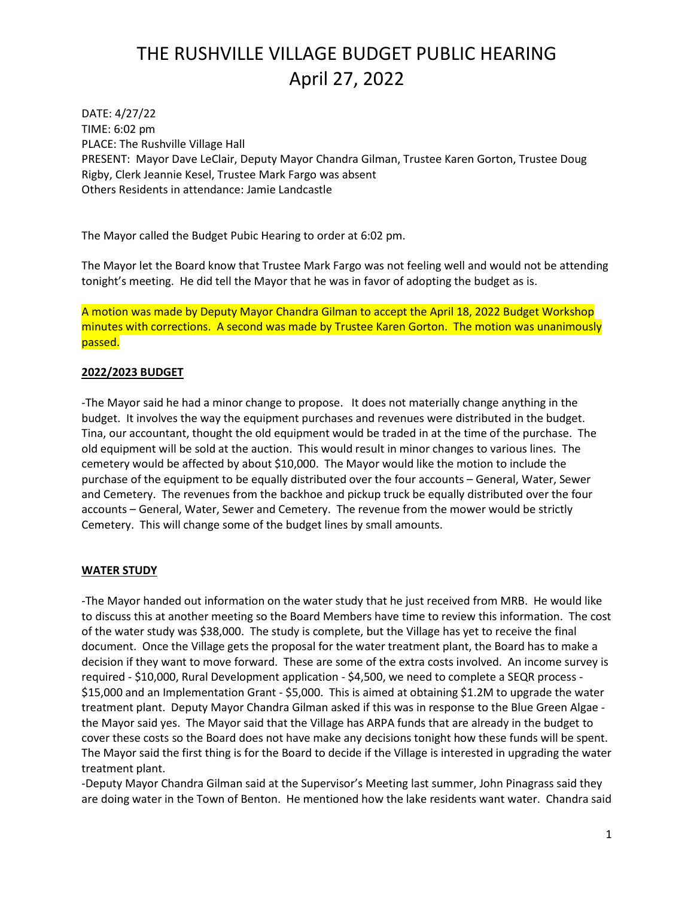## THE RUSHVILLE VILLAGE BUDGET PUBLIC HEARING April 27, 2022

DATE: 4/27/22 TIME: 6:02 pm PLACE: The Rushville Village Hall PRESENT: Mayor Dave LeClair, Deputy Mayor Chandra Gilman, Trustee Karen Gorton, Trustee Doug Rigby, Clerk Jeannie Kesel, Trustee Mark Fargo was absent Others Residents in attendance: Jamie Landcastle

The Mayor called the Budget Pubic Hearing to order at 6:02 pm.

The Mayor let the Board know that Trustee Mark Fargo was not feeling well and would not be attending tonight's meeting. He did tell the Mayor that he was in favor of adopting the budget as is.

A motion was made by Deputy Mayor Chandra Gilman to accept the April 18, 2022 Budget Workshop minutes with corrections. A second was made by Trustee Karen Gorton. The motion was unanimously passed.

#### **2022/2023 BUDGET**

-The Mayor said he had a minor change to propose. It does not materially change anything in the budget. It involves the way the equipment purchases and revenues were distributed in the budget. Tina, our accountant, thought the old equipment would be traded in at the time of the purchase. The old equipment will be sold at the auction. This would result in minor changes to various lines. The cemetery would be affected by about \$10,000. The Mayor would like the motion to include the purchase of the equipment to be equally distributed over the four accounts – General, Water, Sewer and Cemetery. The revenues from the backhoe and pickup truck be equally distributed over the four accounts – General, Water, Sewer and Cemetery. The revenue from the mower would be strictly Cemetery. This will change some of the budget lines by small amounts.

### **WATER STUDY**

-The Mayor handed out information on the water study that he just received from MRB. He would like to discuss this at another meeting so the Board Members have time to review this information. The cost of the water study was \$38,000. The study is complete, but the Village has yet to receive the final document. Once the Village gets the proposal for the water treatment plant, the Board has to make a decision if they want to move forward. These are some of the extra costs involved. An income survey is required - \$10,000, Rural Development application - \$4,500, we need to complete a SEQR process - \$15,000 and an Implementation Grant - \$5,000. This is aimed at obtaining \$1.2M to upgrade the water treatment plant. Deputy Mayor Chandra Gilman asked if this was in response to the Blue Green Algae the Mayor said yes. The Mayor said that the Village has ARPA funds that are already in the budget to cover these costs so the Board does not have make any decisions tonight how these funds will be spent. The Mayor said the first thing is for the Board to decide if the Village is interested in upgrading the water treatment plant.

-Deputy Mayor Chandra Gilman said at the Supervisor's Meeting last summer, John Pinagrass said they are doing water in the Town of Benton. He mentioned how the lake residents want water. Chandra said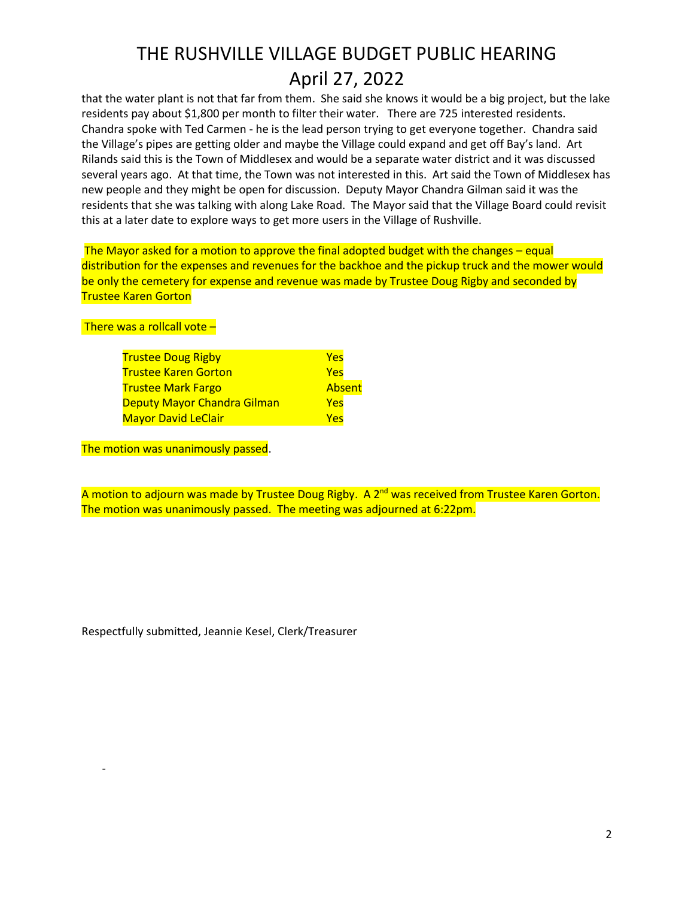## THE RUSHVILLE VILLAGE BUDGET PUBLIC HEARING April 27, 2022

that the water plant is not that far from them. She said she knows it would be a big project, but the lake residents pay about \$1,800 per month to filter their water. There are 725 interested residents. Chandra spoke with Ted Carmen - he is the lead person trying to get everyone together. Chandra said the Village's pipes are getting older and maybe the Village could expand and get off Bay's land. Art Rilands said this is the Town of Middlesex and would be a separate water district and it was discussed several years ago. At that time, the Town was not interested in this. Art said the Town of Middlesex has new people and they might be open for discussion. Deputy Mayor Chandra Gilman said it was the residents that she was talking with along Lake Road. The Mayor said that the Village Board could revisit this at a later date to explore ways to get more users in the Village of Rushville.

The Mayor asked for a motion to approve the final adopted budget with the changes – equal distribution for the expenses and revenues for the backhoe and the pickup truck and the mower would be only the cemetery for expense and revenue was made by Trustee Doug Rigby and seconded by Trustee Karen Gorton

There was a rollcall vote –

-

| <b>Trustee Doug Rigby</b>          | Yes        |
|------------------------------------|------------|
| <b>Trustee Karen Gorton</b>        | <b>Yes</b> |
| <b>Trustee Mark Fargo</b>          | Absent     |
| <b>Deputy Mayor Chandra Gilman</b> | Yes        |
| <b>Mayor David LeClair</b>         | <b>Yes</b> |
|                                    |            |

The motion was unanimously passed.

A motion to adjourn was made by Trustee Doug Rigby. A 2<sup>nd</sup> was received from Trustee Karen Gorton. The motion was unanimously passed. The meeting was adjourned at 6:22pm.

Respectfully submitted, Jeannie Kesel, Clerk/Treasurer